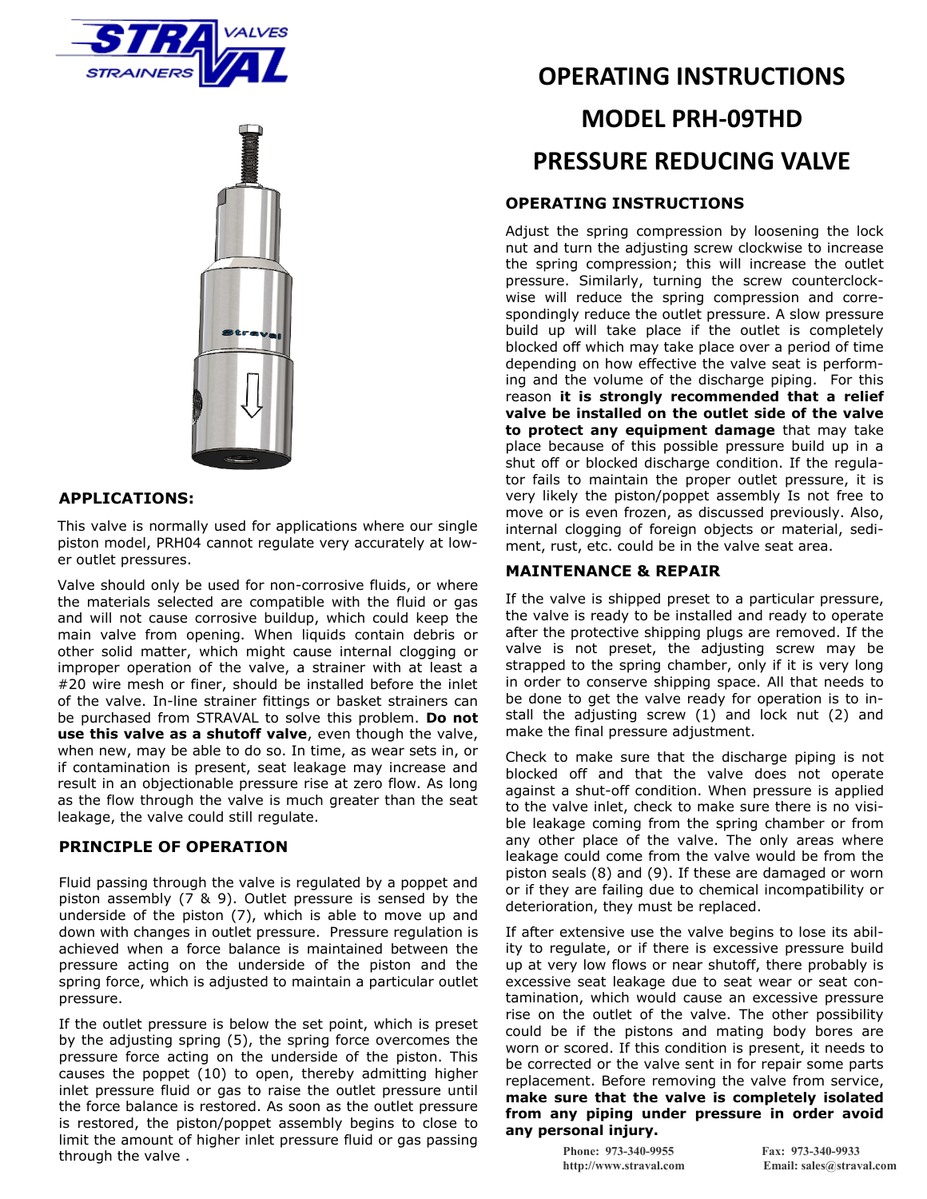



### **APPLICATIONS:**

This valve is normally used for applications where our single piston model, PRH04 cannot regulate very accurately at lower outlet pressures.

Valve should only be used for non-corrosive fluids, or where the materials selected are compatible with the fluid or gas and will not cause corrosive buildup, which could keep the main valve from opening. When liquids contain debris or other solid matter, which might cause internal clogging or improper operation of the valve, a strainer with at least a #20 wire mesh or finer, should be installed before the inlet of the valve. In-line strainer fittings or basket strainers can be purchased from STRAVAL to solve this problem. **Do not use this valve as a shutoff valve**, even though the valve, when new, may be able to do so. In time, as wear sets in, or if contamination is present, seat leakage may increase and result in an objectionable pressure rise at zero flow. As long as the flow through the valve is much greater than the seat leakage, the valve could still regulate.

### **PRINCIPLE OF OPERATION**

Fluid passing through the valve is regulated by a poppet and piston assembly (7 & 9). Outlet pressure is sensed by the underside of the piston (7), which is able to move up and down with changes in outlet pressure. Pressure regulation is achieved when a force balance is maintained between the pressure acting on the underside of the piston and the spring force, which is adjusted to maintain a particular outlet pressure.

If the outlet pressure is below the set point, which is preset by the adjusting spring (5), the spring force overcomes the pressure force acting on the underside of the piston. This causes the poppet (10) to open, thereby admitting higher inlet pressure fluid or gas to raise the outlet pressure until the force balance is restored. As soon as the outlet pressure is restored, the piston/poppet assembly begins to close to limit the amount of higher inlet pressure fluid or gas passing through the valve .

# **OPERATING INSTRUCTIONS MODEL PRH-09THD PRESSURE REDUCING VALVE**

#### **OPERATING INSTRUCTIONS**

Adjust the spring compression by loosening the lock nut and turn the adjusting screw clockwise to increase the spring compression; this will increase the outlet pressure. Similarly, turning the screw counterclockwise will reduce the spring compression and correspondingly reduce the outlet pressure. A slow pressure build up will take place if the outlet is completely blocked off which may take place over a period of time depending on how effective the valve seat is performing and the volume of the discharge piping. For this reason **it is strongly recommended that a relief valve be installed on the outlet side of the valve to protect any equipment damage** that may take place because of this possible pressure build up in a shut off or blocked discharge condition. If the regulator fails to maintain the proper outlet pressure, it is very likely the piston/poppet assembly Is not free to move or is even frozen, as discussed previously. Also, internal clogging of foreign objects or material, sediment, rust, etc. could be in the valve seat area.

#### **MAINTENANCE & REPAIR**

If the valve is shipped preset to a particular pressure, the valve is ready to be installed and ready to operate after the protective shipping plugs are removed. If the valve is not preset, the adjusting screw may be strapped to the spring chamber, only if it is very long in order to conserve shipping space. All that needs to be done to get the valve ready for operation is to install the adjusting screw (1) and lock nut (2) and make the final pressure adjustment.

Check to make sure that the discharge piping is not blocked off and that the valve does not operate against a shut-off condition. When pressure is applied to the valve inlet, check to make sure there is no visible leakage coming from the spring chamber or from any other place of the valve. The only areas where leakage could come from the valve would be from the piston seals (8) and (9). If these are damaged or worn or if they are failing due to chemical incompatibility or deterioration, they must be replaced.

If after extensive use the valve begins to lose its ability to regulate, or if there is excessive pressure build up at very low flows or near shutoff, there probably is excessive seat leakage due to seat wear or seat contamination, which would cause an excessive pressure rise on the outlet of the valve. The other possibility could be if the pistons and mating body bores are worn or scored. If this condition is present, it needs to be corrected or the valve sent in for repair some parts replacement. Before removing the valve from service, **make sure that the valve is completely isolated from any piping under pressure in order avoid any personal injury.** 

**Phone: 973-340-9955 Fax: 973-340-9933**